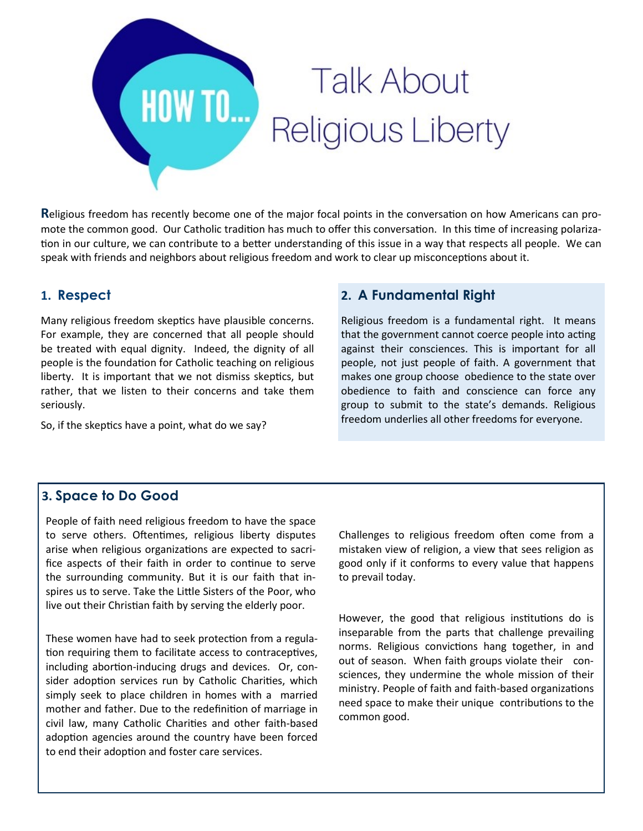

**R**eligious freedom has recently become one of the major focal points in the conversation on how Americans can promote the common good. Our Catholic tradition has much to offer this conversation. In this time of increasing polarization in our culture, we can contribute to a better understanding of this issue in a way that respects all people. We can speak with friends and neighbors about religious freedom and work to clear up misconceptions about it.

## **1. Respect**

Many religious freedom skeptics have plausible concerns. For example, they are concerned that all people should be treated with equal dignity. Indeed, the dignity of all people is the foundation for Catholic teaching on religious liberty. It is important that we not dismiss skeptics, but rather, that we listen to their concerns and take them seriously.

So, if the skeptics have a point, what do we say?

#### **2. A Fundamental Right**

Religious freedom is a fundamental right. It means that the government cannot coerce people into acting against their consciences. This is important for all people, not just people of faith. A government that makes one group choose obedience to the state over obedience to faith and conscience can force any group to submit to the state's demands. Religious freedom underlies all other freedoms for everyone.

# **3. Space to Do Good**

People of faith need religious freedom to have the space to serve others. Oftentimes, religious liberty disputes arise when religious organizations are expected to sacrifice aspects of their faith in order to continue to serve the surrounding community. But it is our faith that inspires us to serve. Take the Little Sisters of the Poor, who live out their Christian faith by serving the elderly poor.

These women have had to seek protection from a regulation requiring them to facilitate access to contraceptives, including abortion-inducing drugs and devices. Or, consider adoption services run by Catholic Charities, which simply seek to place children in homes with a married mother and father. Due to the redefinition of marriage in civil law, many Catholic Charities and other faith-based adoption agencies around the country have been forced to end their adoption and foster care services.

Challenges to religious freedom often come from a mistaken view of religion, a view that sees religion as good only if it conforms to every value that happens to prevail today.

However, the good that religious institutions do is inseparable from the parts that challenge prevailing norms. Religious convictions hang together, in and out of season. When faith groups violate their consciences, they undermine the whole mission of their ministry. People of faith and faith-based organizations need space to make their unique contributions to the common good.